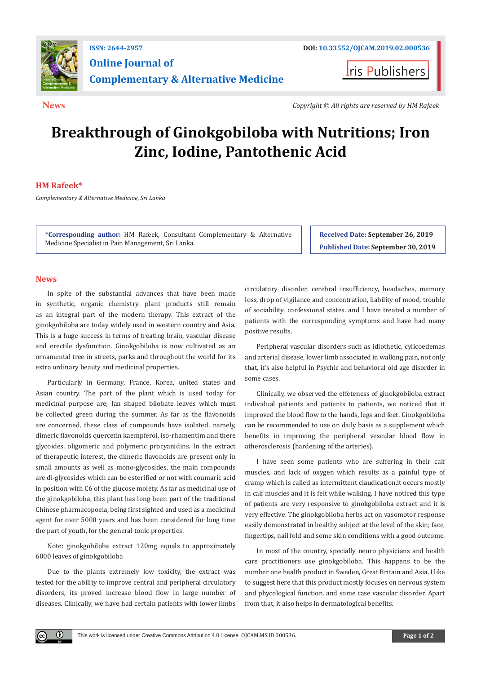

**I**ris Publishers

**News** *Copyright © All rights are reserved by HM Rafeek*

## **Breakthrough of Ginokgobiloba with Nutritions; Iron Zinc, Iodine, Pantothenic Acid**

## **HM Rafeek\***

*Complementary & Alternative Medicine, Sri Lanka*

**\*Corresponding author:** HM Rafeek, Consultant Complementary & Alternative Medicine Specialist in Pain Management, Sri Lanka.

**Received Date: September 26, 2019 Published Date: September 30, 2019**

## **News**

 $\bf \Theta$ 

In spite of the substantial advances that have been made in synthetic, organic chemistry. plant products still remain as an integral part of the modern therapy. This extract of the ginokgobiloba are today widely used in western country and Asia. This is a huge success in terms of treating brain, vascular disease and erectile dysfunction. Ginokgobiloba is now cultivated as an ornamental tree in streets, parks and throughout the world for its extra ordinary beauty and medicinal properties.

Particularly in Germany, France, Korea, united states and Asian country. The part of the plant which is used today for medicinal purpose are; fan shaped bilobate leaves which must be collected green during the summer. As far as the flavonoids are concerned, these class of compounds have isolated, namely, dimeric flavonoids quercetin kaempferol, iso-rhamentim and there glycoides, oligomeric and polymeric procyanidins. In the extract of therapeutic interest, the dimeric flavonoids are present only in small amounts as well as mono-glycosides, the main compounds are di-glycosides which can be esterified or not with coumaric acid in position with C6 of the glucose moiety. As far as medicinal use of the ginokgobiloba, this plant has long been part of the traditional Chinese pharmacopoeia, being first sighted and used as a medicinal agent for over 5000 years and has been considered for long time the part of youth, for the general tonic properties.

Note: ginokgobiloba extract 120mg equals to approximately 6000 leaves of ginokgobiloba

Due to the plants extremely low toxicity, the extract was tested for the ability to improve central and peripheral circulatory disorders, its proved increase blood flow in large number of diseases. Clinically, we have had certain patients with lower limbs

circulatory disorder, cerebral insufficiency, headaches, memory loss, drop of vigilance and concentration, liability of mood, trouble of sociability, confessional states. and I have treated a number of patients with the corresponding symptoms and have had many positive results.

Peripheral vascular disorders such as idiothetic, cylicoedemas and arterial disease, lower limb associated in walking pain, not only that, it's also helpful in Psychic and behavioral old age disorder in some cases.

Clinically, we observed the effeteness of ginokgobiloba extract individual patients and patients to patients, we noticed that it improved the blood flow to the hands, legs and feet. Ginokgobiloba can be recommended to use on daily basis as a supplement which benefits in improving the peripheral vescular blood flow in atherosclerosis (hardening of the arteries).

I have seen some patients who are suffering in their calf muscles, and lack of oxygen which results as a painful type of cramp which is called as intermittent claudication.it occurs mostly in calf muscles and it is felt while walking. I have noticed this type of patients are very responsive to ginokgobiloba extract and it is very effective. The ginokgobiloba herbs act on vasomotor response easily demonstrated in healthy subject at the level of the skin; face, fingertips, nail fold and some skin conditions with a good outcome.

In most of the country, specially neuro physicians and health care practitioners use ginokgobiloba. This happens to be the number one health product in Sweden, Great Britain and Asia. I like to suggest here that this product mostly focuses on nervous system and phycological function, and some case vascular disorder. Apart from that, it also helps in dermatological benefits.